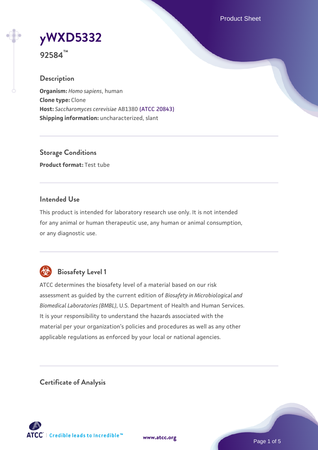Product Sheet

# **[yWXD5332](https://www.atcc.org/products/92584)**

**92584™**

## **Description**

**Organism:** *Homo sapiens*, human **Clone type:** Clone **Host:** *Saccharomyces cerevisiae* AB1380 [\(ATCC 20843\)](https://www.atcc.org/products/20843) **Shipping information:** uncharacterized, slant

**Storage Conditions Product format:** Test tube

## **Intended Use**

This product is intended for laboratory research use only. It is not intended for any animal or human therapeutic use, any human or animal consumption, or any diagnostic use.



# **Biosafety Level 1**

ATCC determines the biosafety level of a material based on our risk assessment as guided by the current edition of *Biosafety in Microbiological and Biomedical Laboratories (BMBL)*, U.S. Department of Health and Human Services. It is your responsibility to understand the hazards associated with the material per your organization's policies and procedures as well as any other applicable regulations as enforced by your local or national agencies.

**Certificate of Analysis**

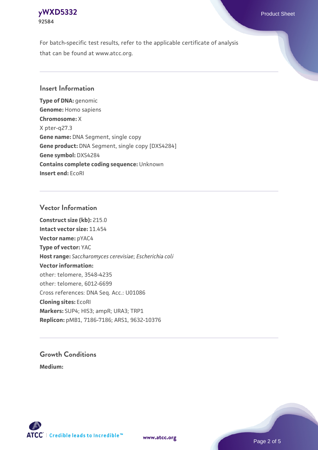## **[yWXD5332](https://www.atcc.org/products/92584)** Product Sheet **92584**

For batch-specific test results, refer to the applicable certificate of analysis that can be found at www.atcc.org.

## **Insert Information**

**Type of DNA:** genomic **Genome:** Homo sapiens **Chromosome:** X X pter-q27.3 **Gene name:** DNA Segment, single copy **Gene product:** DNA Segment, single copy [DXS4284] **Gene symbol:** DXS4284 **Contains complete coding sequence:** Unknown **Insert end:** EcoRI

## **Vector Information**

**Construct size (kb):** 215.0 **Intact vector size:** 11.454 **Vector name:** pYAC4 **Type of vector:** YAC **Host range:** *Saccharomyces cerevisiae*; *Escherichia coli* **Vector information:** other: telomere, 3548-4235 other: telomere, 6012-6699 Cross references: DNA Seq. Acc.: U01086 **Cloning sites:** EcoRI **Markers:** SUP4; HIS3; ampR; URA3; TRP1 **Replicon:** pMB1, 7186-7186; ARS1, 9632-10376

# **Growth Conditions**

**Medium:** 



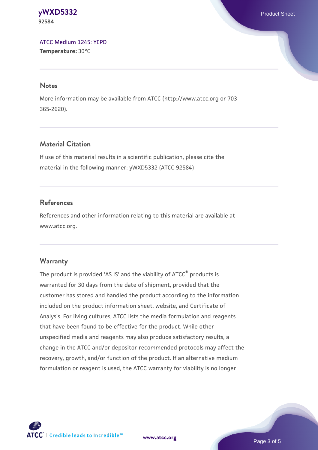#### **[yWXD5332](https://www.atcc.org/products/92584)** Product Sheet **92584**

[ATCC Medium 1245: YEPD](https://www.atcc.org/-/media/product-assets/documents/microbial-media-formulations/1/2/4/5/atcc-medium-1245.pdf?rev=705ca55d1b6f490a808a965d5c072196) **Temperature:** 30°C

#### **Notes**

More information may be available from ATCC (http://www.atcc.org or 703- 365-2620).

## **Material Citation**

If use of this material results in a scientific publication, please cite the material in the following manner: yWXD5332 (ATCC 92584)

## **References**

References and other information relating to this material are available at www.atcc.org.

## **Warranty**

The product is provided 'AS IS' and the viability of ATCC® products is warranted for 30 days from the date of shipment, provided that the customer has stored and handled the product according to the information included on the product information sheet, website, and Certificate of Analysis. For living cultures, ATCC lists the media formulation and reagents that have been found to be effective for the product. While other unspecified media and reagents may also produce satisfactory results, a change in the ATCC and/or depositor-recommended protocols may affect the recovery, growth, and/or function of the product. If an alternative medium formulation or reagent is used, the ATCC warranty for viability is no longer



**[www.atcc.org](http://www.atcc.org)**

Page 3 of 5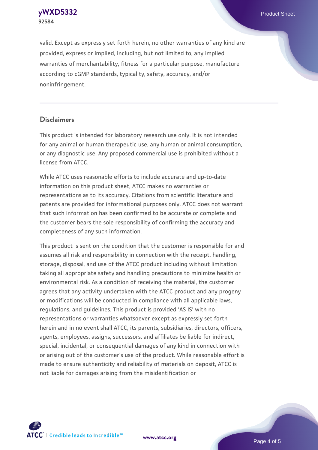**[yWXD5332](https://www.atcc.org/products/92584)** Product Sheet **92584**

valid. Except as expressly set forth herein, no other warranties of any kind are provided, express or implied, including, but not limited to, any implied warranties of merchantability, fitness for a particular purpose, manufacture according to cGMP standards, typicality, safety, accuracy, and/or noninfringement.

#### **Disclaimers**

This product is intended for laboratory research use only. It is not intended for any animal or human therapeutic use, any human or animal consumption, or any diagnostic use. Any proposed commercial use is prohibited without a license from ATCC.

While ATCC uses reasonable efforts to include accurate and up-to-date information on this product sheet, ATCC makes no warranties or representations as to its accuracy. Citations from scientific literature and patents are provided for informational purposes only. ATCC does not warrant that such information has been confirmed to be accurate or complete and the customer bears the sole responsibility of confirming the accuracy and completeness of any such information.

This product is sent on the condition that the customer is responsible for and assumes all risk and responsibility in connection with the receipt, handling, storage, disposal, and use of the ATCC product including without limitation taking all appropriate safety and handling precautions to minimize health or environmental risk. As a condition of receiving the material, the customer agrees that any activity undertaken with the ATCC product and any progeny or modifications will be conducted in compliance with all applicable laws, regulations, and guidelines. This product is provided 'AS IS' with no representations or warranties whatsoever except as expressly set forth herein and in no event shall ATCC, its parents, subsidiaries, directors, officers, agents, employees, assigns, successors, and affiliates be liable for indirect, special, incidental, or consequential damages of any kind in connection with or arising out of the customer's use of the product. While reasonable effort is made to ensure authenticity and reliability of materials on deposit, ATCC is not liable for damages arising from the misidentification or



**[www.atcc.org](http://www.atcc.org)**

Page 4 of 5